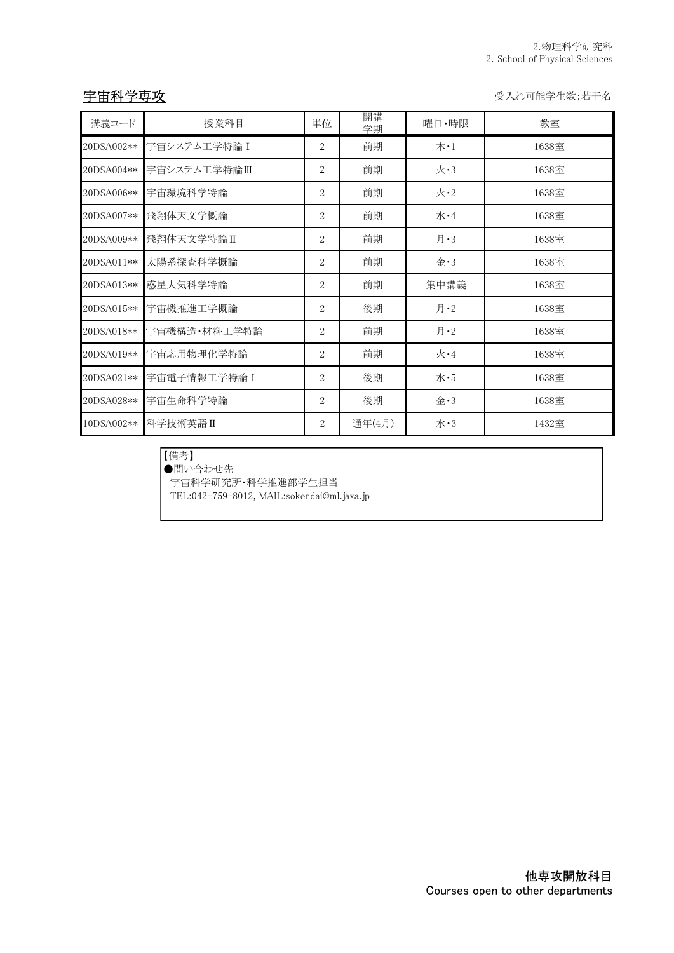宇宙科学専攻 受入れ可能学生数:若干名

| 講義コード      | 授業科目         | 単位             | 開講<br>学期 | 曜日·時限                              | 教室    |
|------------|--------------|----------------|----------|------------------------------------|-------|
| 20DSA002** | 宇宙システム工学特論 I | 2              | 前期       | $\pi \cdot 1$                      | 1638室 |
| 20DSA004** | 宇宙システム工学特論Ⅲ  | $\overline{2}$ | 前期       | $\mathcal{K}$ •3                   | 1638室 |
| 20DSA006** | 宇宙環境科学特論     | $\overline{2}$ | 前期       | 火·2                                | 1638室 |
| 20DSA007** | 飛翔体天文学概論     | 2              | 前期       | 水·4                                | 1638室 |
| 20DSA009** | 飛翔体天文学特論Ⅱ    | 2              | 前期       | 月 $\cdot$ 3                        | 1638室 |
| 20DSA011** | 太陽系探査科学概論    | $\overline{2}$ | 前期       | $\Leftrightarrow 3$                | 1638室 |
| 20DSA013** | 惑星大気科学特論     | $\overline{2}$ | 前期       | 集中講義                               | 1638室 |
| 20DSA015** | 宇宙機推進工学概論    | 2              | 後期       | 月 $\cdot$ 2                        | 1638室 |
| 20DSA018** | 宇宙機構造・材料工学特論 | 2              | 前期       | 月 $\cdot$ 2                        | 1638室 |
| 20DSA019** | 宇宙応用物理化学特論   | $\overline{2}$ | 前期       | 火·4                                | 1638室 |
| 20DSA021** | 宇宙電子情報工学特論 I | $\overline{2}$ | 後期       | 水・5                                | 1638室 |
| 20DSA028** | 宇宙生命科学特論     | 2              | 後期       | $\hat{\mathbf{\hat{\pm}}} \cdot 3$ | 1638室 |
| 10DSA002** | 科学技術英語Ⅱ      | 2              | 通年(4月)   | 水·3                                | 1432室 |

## 【備考】

●問い合わせ先

宇宙科学研究所・科学推進部学生担当

TEL:042-759-8012, MAIL:sokendai@ml.jaxa.jp